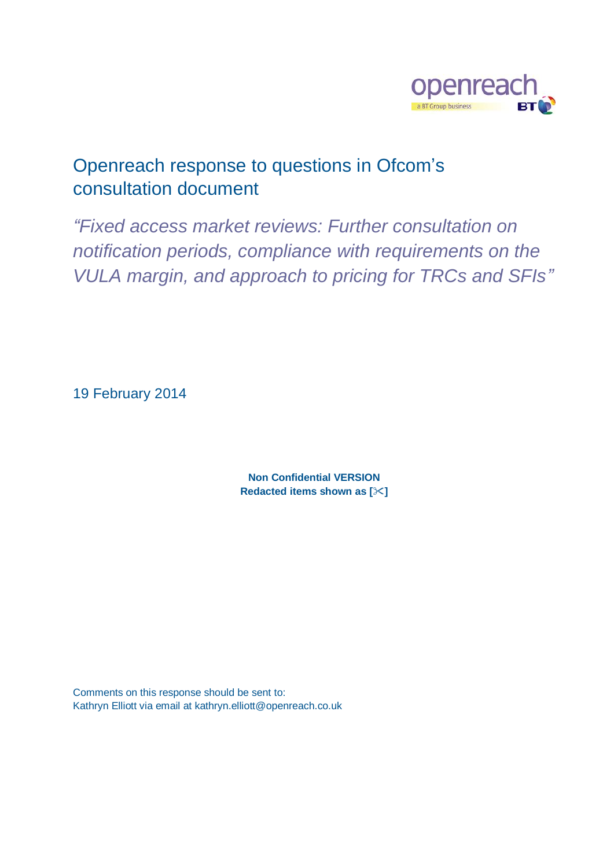

# Openreach response to questions in Ofcom's consultation document

*"Fixed access market reviews: Further consultation on notification periods, compliance with requirements on the VULA margin, and approach to pricing for TRCs and SFIs"*

19 February 2014

**Non Confidential VERSION Redacted items shown as []**

Comments on this response should be sent to: Kathryn Elliott via email at kathryn.elliott@openreach.co.uk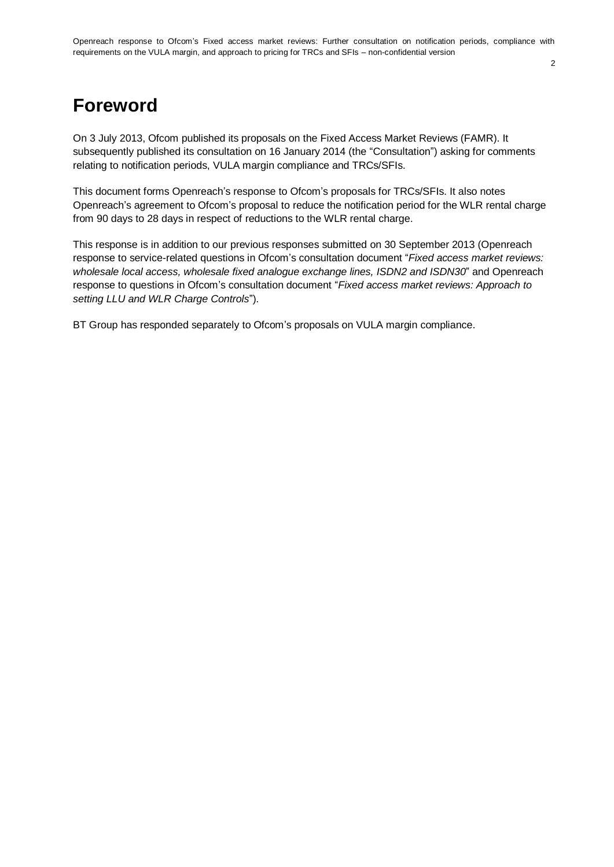# **Foreword**

On 3 July 2013, Ofcom published its proposals on the Fixed Access Market Reviews (FAMR). It subsequently published its consultation on 16 January 2014 (the "Consultation") asking for comments relating to notification periods, VULA margin compliance and TRCs/SFIs.

This document forms Openreach's response to Ofcom's proposals for TRCs/SFIs. It also notes Openreach's agreement to Ofcom's proposal to reduce the notification period for the WLR rental charge from 90 days to 28 days in respect of reductions to the WLR rental charge.

This response is in addition to our previous responses submitted on 30 September 2013 (Openreach response to service-related questions in Ofcom's consultation document "*Fixed access market reviews: wholesale local access, wholesale fixed analogue exchange lines, ISDN2 and ISDN30*" and Openreach response to questions in Ofcom's consultation document "*Fixed access market reviews: Approach to setting LLU and WLR Charge Controls*").

BT Group has responded separately to Ofcom's proposals on VULA margin compliance.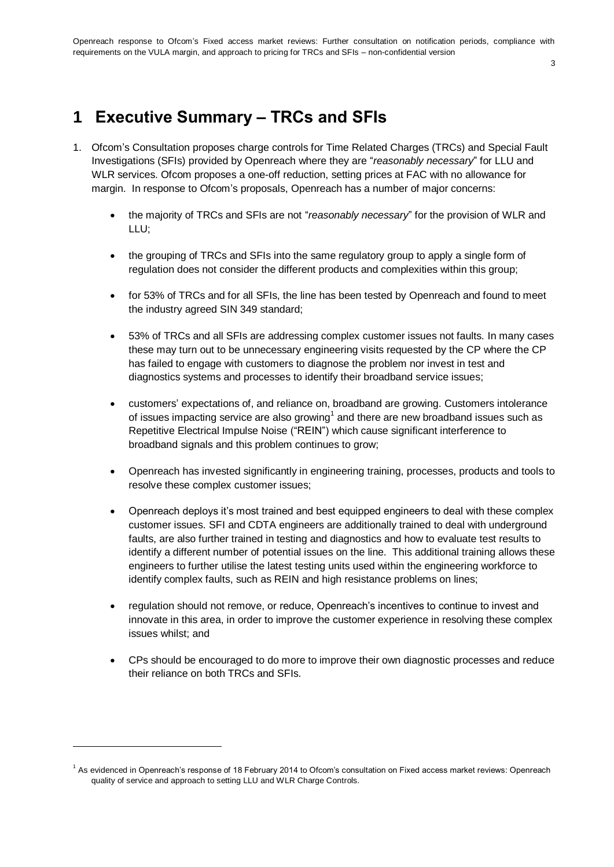#### 3

# **1 Executive Summary – TRCs and SFIs**

- 1. Ofcom's Consultation proposes charge controls for Time Related Charges (TRCs) and Special Fault Investigations (SFIs) provided by Openreach where they are "*reasonably necessary*" for LLU and WLR services. Ofcom proposes a one-off reduction, setting prices at FAC with no allowance for margin. In response to Ofcom's proposals, Openreach has a number of major concerns:
	- the majority of TRCs and SFIs are not "*reasonably necessary*" for the provision of WLR and LLU;
	- the grouping of TRCs and SFIs into the same regulatory group to apply a single form of regulation does not consider the different products and complexities within this group;
	- for 53% of TRCs and for all SFIs, the line has been tested by Openreach and found to meet the industry agreed SIN 349 standard;
	- 53% of TRCs and all SFIs are addressing complex customer issues not faults. In many cases these may turn out to be unnecessary engineering visits requested by the CP where the CP has failed to engage with customers to diagnose the problem nor invest in test and diagnostics systems and processes to identify their broadband service issues;
	- customers' expectations of, and reliance on, broadband are growing. Customers intolerance of issues impacting service are also growing<sup>1</sup> and there are new broadband issues such as Repetitive Electrical Impulse Noise ("REIN") which cause significant interference to broadband signals and this problem continues to grow;
	- Openreach has invested significantly in engineering training, processes, products and tools to resolve these complex customer issues;
	- Openreach deploys it's most trained and best equipped engineers to deal with these complex customer issues. SFI and CDTA engineers are additionally trained to deal with underground faults, are also further trained in testing and diagnostics and how to evaluate test results to identify a different number of potential issues on the line. This additional training allows these engineers to further utilise the latest testing units used within the engineering workforce to identify complex faults, such as REIN and high resistance problems on lines;
	- regulation should not remove, or reduce, Openreach's incentives to continue to invest and innovate in this area, in order to improve the customer experience in resolving these complex issues whilst; and
	- CPs should be encouraged to do more to improve their own diagnostic processes and reduce their reliance on both TRCs and SFIs.

<sup>&</sup>lt;sup>1</sup> As evidenced in Openreach's response of 18 February 2014 to Ofcom's consultation on Fixed access market reviews: Openreach quality of service and approach to setting LLU and WLR Charge Controls.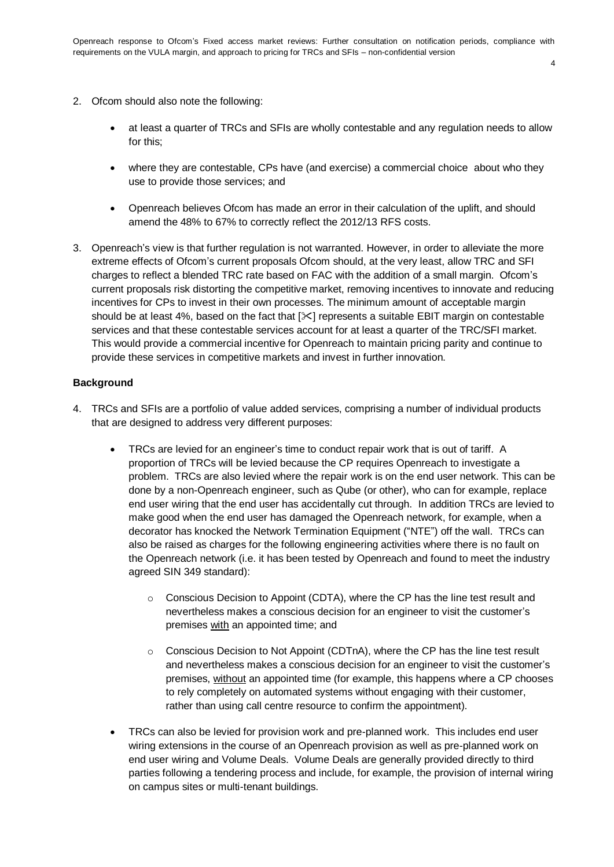- 2. Ofcom should also note the following:
	- at least a quarter of TRCs and SFIs are wholly contestable and any regulation needs to allow for this;
	- where they are contestable, CPs have (and exercise) a commercial choice about who they use to provide those services; and
	- Openreach believes Ofcom has made an error in their calculation of the uplift, and should amend the 48% to 67% to correctly reflect the 2012/13 RFS costs.
- 3. Openreach's view is that further regulation is not warranted. However, in order to alleviate the more extreme effects of Ofcom's current proposals Ofcom should, at the very least, allow TRC and SFI charges to reflect a blended TRC rate based on FAC with the addition of a small margin. Ofcom's current proposals risk distorting the competitive market, removing incentives to innovate and reducing incentives for CPs to invest in their own processes. The minimum amount of acceptable margin should be at least 4%, based on the fact that  $[\&]$  represents a suitable EBIT margin on contestable services and that these contestable services account for at least a quarter of the TRC/SFI market. This would provide a commercial incentive for Openreach to maintain pricing parity and continue to provide these services in competitive markets and invest in further innovation.

#### **Background**

- 4. TRCs and SFIs are a portfolio of value added services, comprising a number of individual products that are designed to address very different purposes:
	- TRCs are levied for an engineer's time to conduct repair work that is out of tariff. A proportion of TRCs will be levied because the CP requires Openreach to investigate a problem. TRCs are also levied where the repair work is on the end user network. This can be done by a non-Openreach engineer, such as Qube (or other), who can for example, replace end user wiring that the end user has accidentally cut through. In addition TRCs are levied to make good when the end user has damaged the Openreach network, for example, when a decorator has knocked the Network Termination Equipment ("NTE") off the wall. TRCs can also be raised as charges for the following engineering activities where there is no fault on the Openreach network (i.e. it has been tested by Openreach and found to meet the industry agreed SIN 349 standard):
		- $\circ$  Conscious Decision to Appoint (CDTA), where the CP has the line test result and nevertheless makes a conscious decision for an engineer to visit the customer's premises with an appointed time; and
		- $\circ$  Conscious Decision to Not Appoint (CDTnA), where the CP has the line test result and nevertheless makes a conscious decision for an engineer to visit the customer's premises, without an appointed time (for example, this happens where a CP chooses to rely completely on automated systems without engaging with their customer, rather than using call centre resource to confirm the appointment).
	- TRCs can also be levied for provision work and pre-planned work. This includes end user wiring extensions in the course of an Openreach provision as well as pre-planned work on end user wiring and Volume Deals. Volume Deals are generally provided directly to third parties following a tendering process and include, for example, the provision of internal wiring on campus sites or multi-tenant buildings.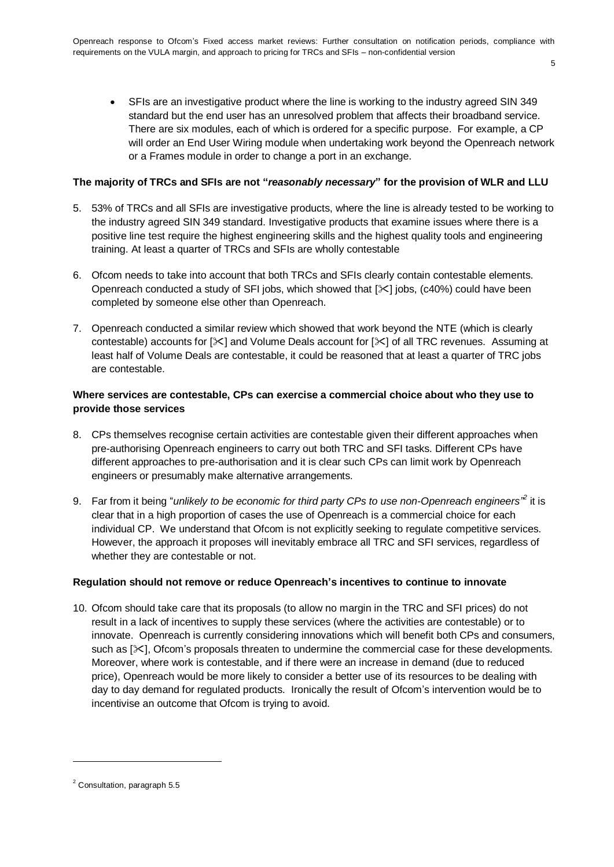SFIs are an investigative product where the line is working to the industry agreed SIN 349 standard but the end user has an unresolved problem that affects their broadband service. There are six modules, each of which is ordered for a specific purpose. For example, a CP will order an End User Wiring module when undertaking work beyond the Openreach network or a Frames module in order to change a port in an exchange.

5

#### **The majority of TRCs and SFIs are not "***reasonably necessary***" for the provision of WLR and LLU**

- 5. 53% of TRCs and all SFIs are investigative products, where the line is already tested to be working to the industry agreed SIN 349 standard. Investigative products that examine issues where there is a positive line test require the highest engineering skills and the highest quality tools and engineering training. At least a quarter of TRCs and SFIs are wholly contestable
- 6. Ofcom needs to take into account that both TRCs and SFIs clearly contain contestable elements. Openreach conducted a study of SFI jobs, which showed that  $[\times]$  jobs, (c40%) could have been completed by someone else other than Openreach.
- 7. Openreach conducted a similar review which showed that work beyond the NTE (which is clearly contestable) accounts for  $[\times]$  and Volume Deals account for  $[\times]$  of all TRC revenues. Assuming at least half of Volume Deals are contestable, it could be reasoned that at least a quarter of TRC jobs are contestable.

#### **Where services are contestable, CPs can exercise a commercial choice about who they use to provide those services**

- 8. CPs themselves recognise certain activities are contestable given their different approaches when pre-authorising Openreach engineers to carry out both TRC and SFI tasks. Different CPs have different approaches to pre-authorisation and it is clear such CPs can limit work by Openreach engineers or presumably make alternative arrangements.
- 9. Far from it being "*unlikely to be economic for third party CPs to use non-Openreach engineers<sup>"2</sup> it is* clear that in a high proportion of cases the use of Openreach is a commercial choice for each individual CP. We understand that Ofcom is not explicitly seeking to regulate competitive services. However, the approach it proposes will inevitably embrace all TRC and SFI services, regardless of whether they are contestable or not.

#### **Regulation should not remove or reduce Openreach's incentives to continue to innovate**

10. Ofcom should take care that its proposals (to allow no margin in the TRC and SFI prices) do not result in a lack of incentives to supply these services (where the activities are contestable) or to innovate. Openreach is currently considering innovations which will benefit both CPs and consumers, such as  $[\times]$ , Ofcom's proposals threaten to undermine the commercial case for these developments. Moreover, where work is contestable, and if there were an increase in demand (due to reduced price), Openreach would be more likely to consider a better use of its resources to be dealing with day to day demand for regulated products. Ironically the result of Ofcom's intervention would be to incentivise an outcome that Ofcom is trying to avoid.

<sup>2</sup> Consultation, paragraph 5.5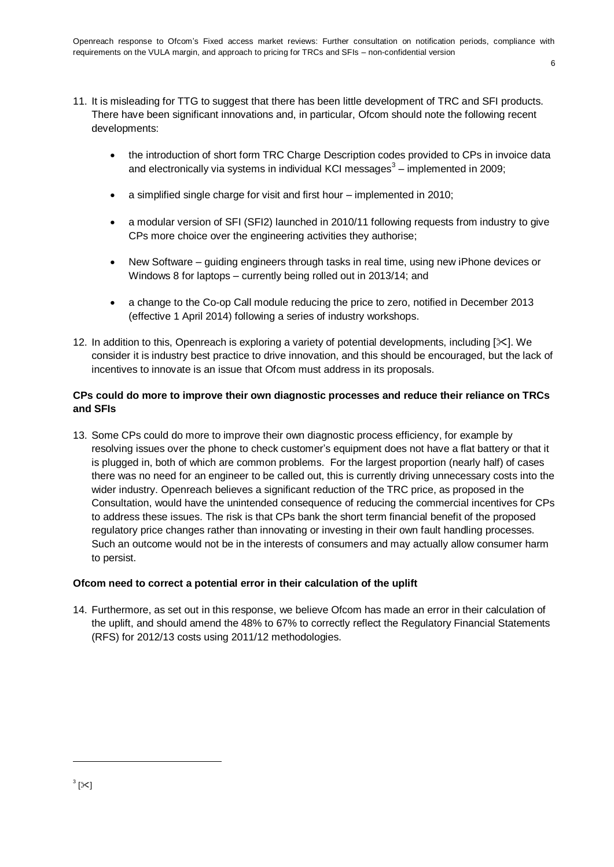- 11. It is misleading for TTG to suggest that there has been little development of TRC and SFI products. There have been significant innovations and, in particular, Ofcom should note the following recent developments:
	- the introduction of short form TRC Charge Description codes provided to CPs in invoice data and electronically via systems in individual KCI messages<sup>3</sup> – implemented in 2009;
	- a simplified single charge for visit and first hour implemented in 2010;
	- a modular version of SFI (SFI2) launched in 2010/11 following requests from industry to give CPs more choice over the engineering activities they authorise;
	- New Software guiding engineers through tasks in real time, using new iPhone devices or Windows 8 for laptops – currently being rolled out in 2013/14; and
	- a change to the Co-op Call module reducing the price to zero, notified in December 2013 (effective 1 April 2014) following a series of industry workshops.
- 12. In addition to this, Openreach is exploring a variety of potential developments, including [ $\ge$ ]. We consider it is industry best practice to drive innovation, and this should be encouraged, but the lack of incentives to innovate is an issue that Ofcom must address in its proposals.

# **CPs could do more to improve their own diagnostic processes and reduce their reliance on TRCs and SFIs**

13. Some CPs could do more to improve their own diagnostic process efficiency, for example by resolving issues over the phone to check customer's equipment does not have a flat battery or that it is plugged in, both of which are common problems. For the largest proportion (nearly half) of cases there was no need for an engineer to be called out, this is currently driving unnecessary costs into the wider industry. Openreach believes a significant reduction of the TRC price, as proposed in the Consultation, would have the unintended consequence of reducing the commercial incentives for CPs to address these issues. The risk is that CPs bank the short term financial benefit of the proposed regulatory price changes rather than innovating or investing in their own fault handling processes. Such an outcome would not be in the interests of consumers and may actually allow consumer harm to persist.

# **Ofcom need to correct a potential error in their calculation of the uplift**

14. Furthermore, as set out in this response, we believe Ofcom has made an error in their calculation of the uplift, and should amend the 48% to 67% to correctly reflect the Regulatory Financial Statements (RFS) for 2012/13 costs using 2011/12 methodologies.

1

 $^3$  [ $\approx$ ]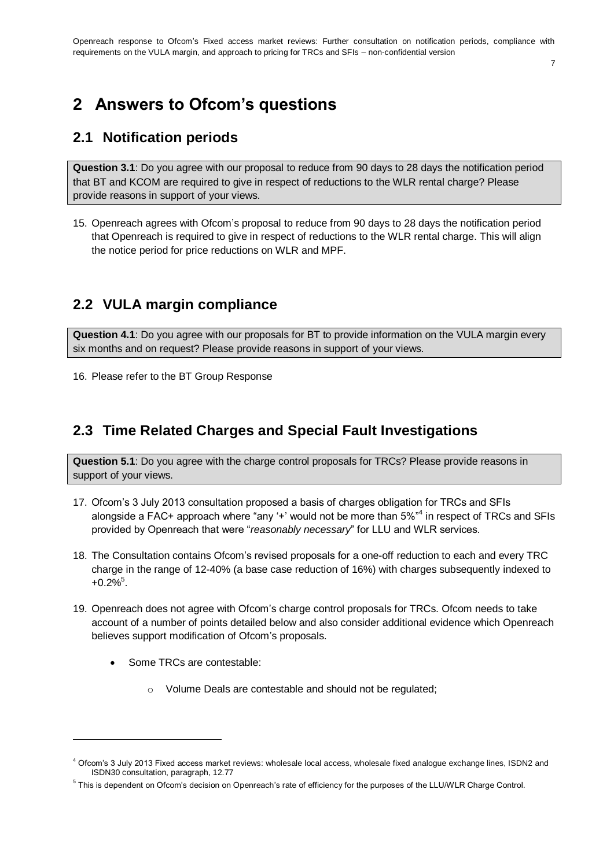#### 7

# **2 Answers to Ofcom's questions**

# **2.1 Notification periods**

**Question 3.1**: Do you agree with our proposal to reduce from 90 days to 28 days the notification period that BT and KCOM are required to give in respect of reductions to the WLR rental charge? Please provide reasons in support of your views.

15. Openreach agrees with Ofcom's proposal to reduce from 90 days to 28 days the notification period that Openreach is required to give in respect of reductions to the WLR rental charge. This will align the notice period for price reductions on WLR and MPF.

# **2.2 VULA margin compliance**

**Question 4.1**: Do you agree with our proposals for BT to provide information on the VULA margin every six months and on request? Please provide reasons in support of your views.

16. Please refer to the BT Group Response

# **2.3 Time Related Charges and Special Fault Investigations**

**Question 5.1**: Do you agree with the charge control proposals for TRCs? Please provide reasons in support of your views.

- 17. Ofcom's 3 July 2013 consultation proposed a basis of charges obligation for TRCs and SFIs alongside a FAC+ approach where "any '+' would not be more than 5%"<sup>4</sup> in respect of TRCs and SFIs provided by Openreach that were "*reasonably necessary*" for LLU and WLR services.
- 18. The Consultation contains Ofcom's revised proposals for a one-off reduction to each and every TRC charge in the range of 12-40% (a base case reduction of 16%) with charges subsequently indexed to  $+0.2\%$ <sup>5</sup>.
- 19. Openreach does not agree with Ofcom's charge control proposals for TRCs. Ofcom needs to take account of a number of points detailed below and also consider additional evidence which Openreach believes support modification of Ofcom's proposals.
	- Some TRCs are contestable:

1

o Volume Deals are contestable and should not be regulated;

<sup>&</sup>lt;sup>4</sup> Ofcom's 3 July 2013 Fixed access market reviews: wholesale local access, wholesale fixed analogue exchange lines, ISDN2 and ISDN30 consultation, paragraph, 12.77

<sup>&</sup>lt;sup>5</sup> This is dependent on Ofcom's decision on Openreach's rate of efficiency for the purposes of the LLU/WLR Charge Control.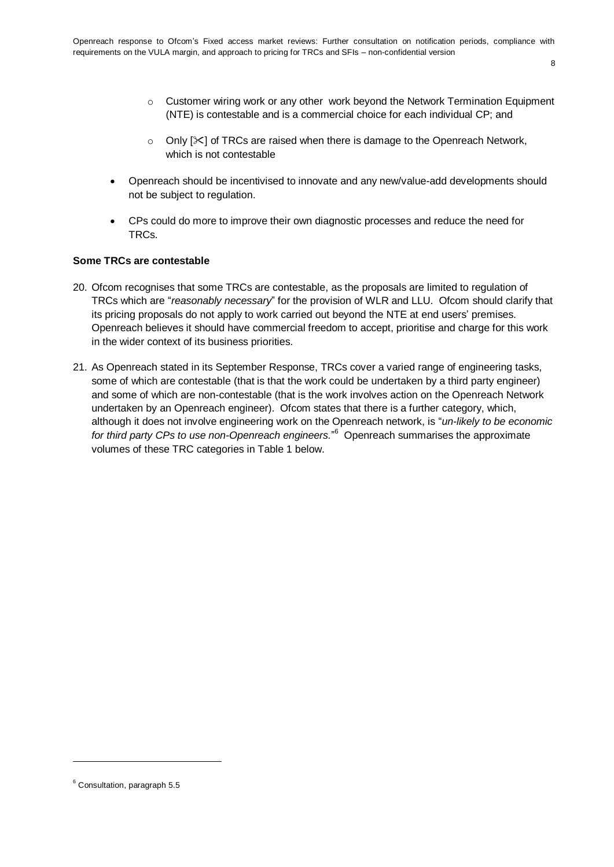- 8
- $\circ$  Customer wiring work or any other work beyond the Network Termination Equipment (NTE) is contestable and is a commercial choice for each individual CP; and
- o Only  $[\times]$  of TRCs are raised when there is damage to the Openreach Network, which is not contestable
- Openreach should be incentivised to innovate and any new/value-add developments should not be subject to regulation.
- CPs could do more to improve their own diagnostic processes and reduce the need for TRCs.

#### **Some TRCs are contestable**

- 20. Ofcom recognises that some TRCs are contestable, as the proposals are limited to regulation of TRCs which are "*reasonably necessary*" for the provision of WLR and LLU. Ofcom should clarify that its pricing proposals do not apply to work carried out beyond the NTE at end users' premises. Openreach believes it should have commercial freedom to accept, prioritise and charge for this work in the wider context of its business priorities.
- 21. As Openreach stated in its September Response, TRCs cover a varied range of engineering tasks, some of which are contestable (that is that the work could be undertaken by a third party engineer) and some of which are non-contestable (that is the work involves action on the Openreach Network undertaken by an Openreach engineer). Ofcom states that there is a further category, which, although it does not involve engineering work on the Openreach network, is "*un-likely to be economic*  for third party CPs to use non-Openreach engineers."<sup>6</sup> Openreach summarises the approximate volumes of these TRC categories in Table 1 below.

<sup>6</sup> Consultation, paragraph 5.5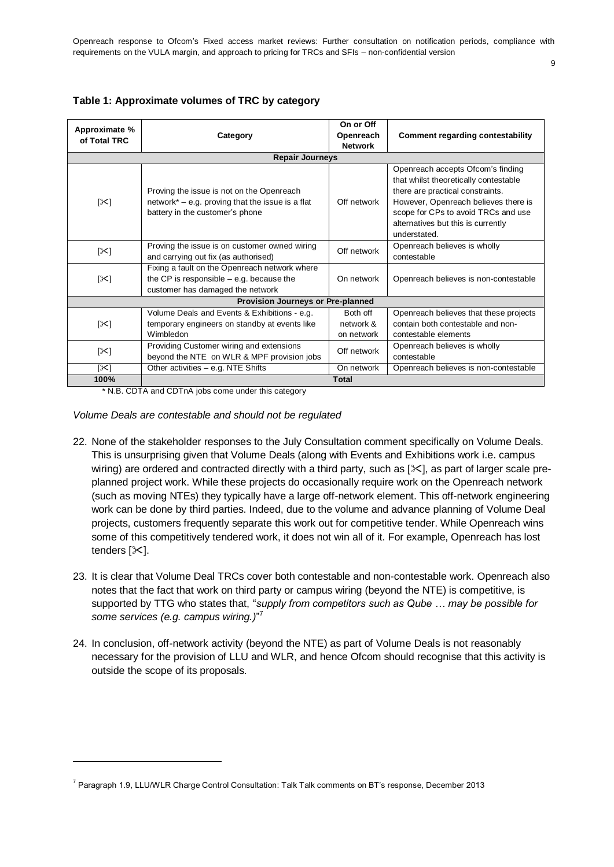| Table 1: Approximate volumes of TRC by category |  |  |
|-------------------------------------------------|--|--|
|-------------------------------------------------|--|--|

| Approximate %<br>of Total TRC | Category                                                                                                                         | On or Off<br>Openreach<br><b>Network</b> | <b>Comment regarding contestability</b>                                                                                                                                                                                                             |
|-------------------------------|----------------------------------------------------------------------------------------------------------------------------------|------------------------------------------|-----------------------------------------------------------------------------------------------------------------------------------------------------------------------------------------------------------------------------------------------------|
|                               | <b>Repair Journeys</b>                                                                                                           |                                          |                                                                                                                                                                                                                                                     |
| $\mathbb{K}$                  | Proving the issue is not on the Openreach<br>network* – e.g. proving that the issue is a flat<br>battery in the customer's phone | Off network                              | Openreach accepts Ofcom's finding<br>that whilst theoretically contestable<br>there are practical constraints.<br>However, Openreach believes there is<br>scope for CPs to avoid TRCs and use<br>alternatives but this is currently<br>understated. |
| [≻]                           | Proving the issue is on customer owned wiring<br>and carrying out fix (as authorised)                                            | Off network                              | Openreach believes is wholly<br>contestable                                                                                                                                                                                                         |
| $\approx$                     | Fixing a fault on the Openreach network where<br>the CP is responsible $-$ e.g. because the<br>customer has damaged the network  | On network                               | Openreach believes is non-contestable                                                                                                                                                                                                               |
|                               | Provision Journeys or Pre-planned                                                                                                |                                          |                                                                                                                                                                                                                                                     |
| [≻]                           | Volume Deals and Events & Exhibitions - e.g.<br>temporary engineers on standby at events like<br>Wimbledon                       | Both off<br>network &<br>on network      | Openreach believes that these projects<br>contain both contestable and non-<br>contestable elements                                                                                                                                                 |
| $[\times]$                    | Providing Customer wiring and extensions<br>beyond the NTE on WLR & MPF provision jobs                                           | Off network                              | Openreach believes is wholly<br>contestable                                                                                                                                                                                                         |
| $\left[\right]$               | Other activities - e.g. NTE Shifts                                                                                               | On network                               | Openreach believes is non-contestable                                                                                                                                                                                                               |
| 100%                          |                                                                                                                                  | <b>Total</b>                             |                                                                                                                                                                                                                                                     |

\* N.B. CDTA and CDTnA jobs come under this category

#### *Volume Deals are contestable and should not be regulated*

- 22. None of the stakeholder responses to the July Consultation comment specifically on Volume Deals. This is unsurprising given that Volume Deals (along with Events and Exhibitions work i.e. campus wiring) are ordered and contracted directly with a third party, such as  $[\times]$ , as part of larger scale preplanned project work. While these projects do occasionally require work on the Openreach network (such as moving NTEs) they typically have a large off-network element. This off-network engineering work can be done by third parties. Indeed, due to the volume and advance planning of Volume Deal projects, customers frequently separate this work out for competitive tender. While Openreach wins some of this competitively tendered work, it does not win all of it. For example, Openreach has lost tenders  $[\times]$ .
- 23. It is clear that Volume Deal TRCs cover both contestable and non-contestable work. Openreach also notes that the fact that work on third party or campus wiring (beyond the NTE) is competitive, is supported by TTG who states that, "*supply from competitors such as Qube … may be possible for some services (e.g. campus wiring.)*" 7
- 24. In conclusion, off-network activity (beyond the NTE) as part of Volume Deals is not reasonably necessary for the provision of LLU and WLR, and hence Ofcom should recognise that this activity is outside the scope of its proposals.

<sup>&</sup>lt;sup>7</sup> Paragraph 1.9, LLU/WLR Charge Control Consultation: Talk Talk comments on BT's response, December 2013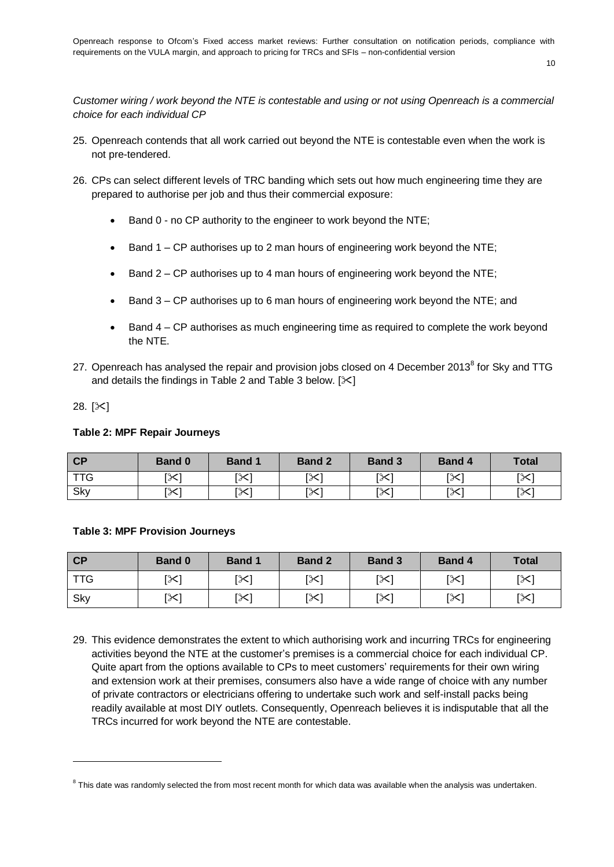*Customer wiring / work beyond the NTE is contestable and using or not using Openreach is a commercial choice for each individual CP*

- 25. Openreach contends that all work carried out beyond the NTE is contestable even when the work is not pre-tendered.
- 26. CPs can select different levels of TRC banding which sets out how much engineering time they are prepared to authorise per job and thus their commercial exposure:
	- Band 0 no CP authority to the engineer to work beyond the NTE:
	- **Band 1 CP authorises up to 2 man hours of engineering work beyond the NTE;**
	- **Band 2 CP authorises up to 4 man hours of engineering work beyond the NTE;**
	- Band 3 CP authorises up to 6 man hours of engineering work beyond the NTE; and
	- Band 4 CP authorises as much engineering time as required to complete the work beyond the NTE.
- 27. Openreach has analysed the repair and provision jobs closed on 4 December 2013<sup>8</sup> for Sky and TTG and details the findings in Table 2 and Table 3 below.  $[\times]$
- 28.  $[\times]$

1

#### **Table 2: MPF Repair Journeys**

| CP         | <b>Band 0</b> | <b>Band 1</b> | <b>Band 2</b> | <b>Band 3</b>          | <b>Band 4</b>  | <b>Total</b> |
|------------|---------------|---------------|---------------|------------------------|----------------|--------------|
| <b>TTG</b> | [X]           | [X]           | ו≫]           | $\mathsf{I}\mathsf{X}$ | [X]            | [≻[          |
| Sky        | ו≫]           | [≻[           | [≻            | [╳]                    | 「ヘノ」<br>$\sim$ | [╳]          |

#### **Table 3: MPF Provision Journeys**

| CP         | <b>Band 0</b> | <b>Band 1</b> | <b>Band 2</b> | <b>Band 3</b>         | <b>Band 4</b> | <b>Total</b> |
|------------|---------------|---------------|---------------|-----------------------|---------------|--------------|
| <b>TTG</b> | [X]           | [≫]           | $\mathbb{R}$  | $\left[\infty\right]$ | [≻            | [≻]          |
| Sky        | ו≫]           | [≫]           | [╳]           | [X]                   | [≻            | [╳]          |

29. This evidence demonstrates the extent to which authorising work and incurring TRCs for engineering activities beyond the NTE at the customer's premises is a commercial choice for each individual CP. Quite apart from the options available to CPs to meet customers' requirements for their own wiring and extension work at their premises, consumers also have a wide range of choice with any number of private contractors or electricians offering to undertake such work and self-install packs being readily available at most DIY outlets. Consequently, Openreach believes it is indisputable that all the TRCs incurred for work beyond the NTE are contestable.

 $^8$  This date was randomly selected the from most recent month for which data was available when the analysis was undertaken.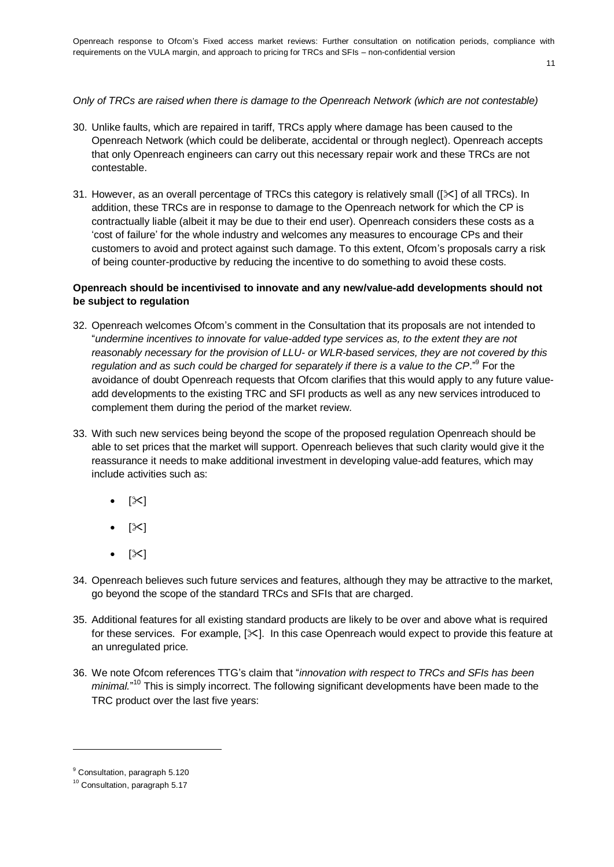Openreach response to Ofcom's Fixed access market reviews: Further consultation on notification periods, compliance with requirements on the VULA margin, and approach to pricing for TRCs and SFIs – non-confidential version

11

# *Only of TRCs are raised when there is damage to the Openreach Network (which are not contestable)*

- 30. Unlike faults, which are repaired in tariff, TRCs apply where damage has been caused to the Openreach Network (which could be deliberate, accidental or through neglect). Openreach accepts that only Openreach engineers can carry out this necessary repair work and these TRCs are not contestable.
- 31. However, as an overall percentage of TRCs this category is relatively small ( $[\times]$  of all TRCs). In addition, these TRCs are in response to damage to the Openreach network for which the CP is contractually liable (albeit it may be due to their end user). Openreach considers these costs as a 'cost of failure' for the whole industry and welcomes any measures to encourage CPs and their customers to avoid and protect against such damage. To this extent, Ofcom's proposals carry a risk of being counter-productive by reducing the incentive to do something to avoid these costs.

## **Openreach should be incentivised to innovate and any new/value-add developments should not be subject to regulation**

- 32. Openreach welcomes Ofcom's comment in the Consultation that its proposals are not intended to "*undermine incentives to innovate for value-added type services as, to the extent they are not reasonably necessary for the provision of LLU- or WLR-based services, they are not covered by this*  regulation and as such could be charged for separately if there is a value to the CP."<sup>9</sup> For the avoidance of doubt Openreach requests that Ofcom clarifies that this would apply to any future valueadd developments to the existing TRC and SFI products as well as any new services introduced to complement them during the period of the market review.
- 33. With such new services being beyond the scope of the proposed regulation Openreach should be able to set prices that the market will support. Openreach believes that such clarity would give it the reassurance it needs to make additional investment in developing value-add features, which may include activities such as:
	- $\bullet$  [ $\ge$ ]
	- $\bullet$  [ $\bowtie$ ]
	- $\bullet$  [ $\times$ ]
- 34. Openreach believes such future services and features, although they may be attractive to the market, go beyond the scope of the standard TRCs and SFIs that are charged.
- 35. Additional features for all existing standard products are likely to be over and above what is required for these services. For example,  $[\times]$ . In this case Openreach would expect to provide this feature at an unregulated price.
- 36. We note Ofcom references TTG's claim that "*innovation with respect to TRCs and SFIs has been*  minimal."<sup>10</sup> This is simply incorrect. The following significant developments have been made to the TRC product over the last five years:

<sup>&</sup>lt;sup>9</sup> Consultation, paragraph 5.120

<sup>&</sup>lt;sup>10</sup> Consultation, paragraph 5.17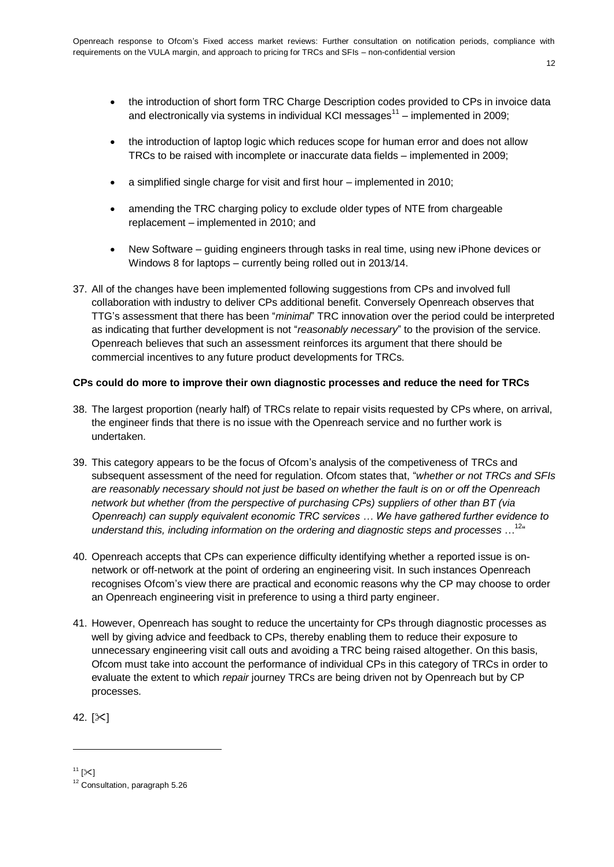- the introduction of short form TRC Charge Description codes provided to CPs in invoice data and electronically via systems in individual KCI messages $^{11}$  – implemented in 2009;
- the introduction of laptop logic which reduces scope for human error and does not allow TRCs to be raised with incomplete or inaccurate data fields – implemented in 2009;
- a simplified single charge for visit and first hour implemented in 2010;
- amending the TRC charging policy to exclude older types of NTE from chargeable replacement – implemented in 2010; and
- New Software guiding engineers through tasks in real time, using new iPhone devices or Windows 8 for laptops – currently being rolled out in 2013/14.
- 37. All of the changes have been implemented following suggestions from CPs and involved full collaboration with industry to deliver CPs additional benefit. Conversely Openreach observes that TTG's assessment that there has been "*minimal*" TRC innovation over the period could be interpreted as indicating that further development is not "*reasonably necessary*" to the provision of the service. Openreach believes that such an assessment reinforces its argument that there should be commercial incentives to any future product developments for TRCs.

#### **CPs could do more to improve their own diagnostic processes and reduce the need for TRCs**

- 38. The largest proportion (nearly half) of TRCs relate to repair visits requested by CPs where, on arrival, the engineer finds that there is no issue with the Openreach service and no further work is undertaken.
- 39. This category appears to be the focus of Ofcom's analysis of the competiveness of TRCs and subsequent assessment of the need for regulation. Ofcom states that, "*whether or not TRCs and SFIs are reasonably necessary should not just be based on whether the fault is on or off the Openreach network but whether (from the perspective of purchasing CPs) suppliers of other than BT (via Openreach) can supply equivalent economic TRC services … We have gathered further evidence to understand this, including information on the ordering and diagnostic steps and processes* … 12"
- 40. Openreach accepts that CPs can experience difficulty identifying whether a reported issue is onnetwork or off-network at the point of ordering an engineering visit. In such instances Openreach recognises Ofcom's view there are practical and economic reasons why the CP may choose to order an Openreach engineering visit in preference to using a third party engineer.
- 41. However, Openreach has sought to reduce the uncertainty for CPs through diagnostic processes as well by giving advice and feedback to CPs, thereby enabling them to reduce their exposure to unnecessary engineering visit call outs and avoiding a TRC being raised altogether. On this basis, Ofcom must take into account the performance of individual CPs in this category of TRCs in order to evaluate the extent to which *repair* journey TRCs are being driven not by Openreach but by CP processes.

42.  $[\times]$ 

 $11$  [ $\times$ ]

<sup>&</sup>lt;sup>12</sup> Consultation, paragraph 5.26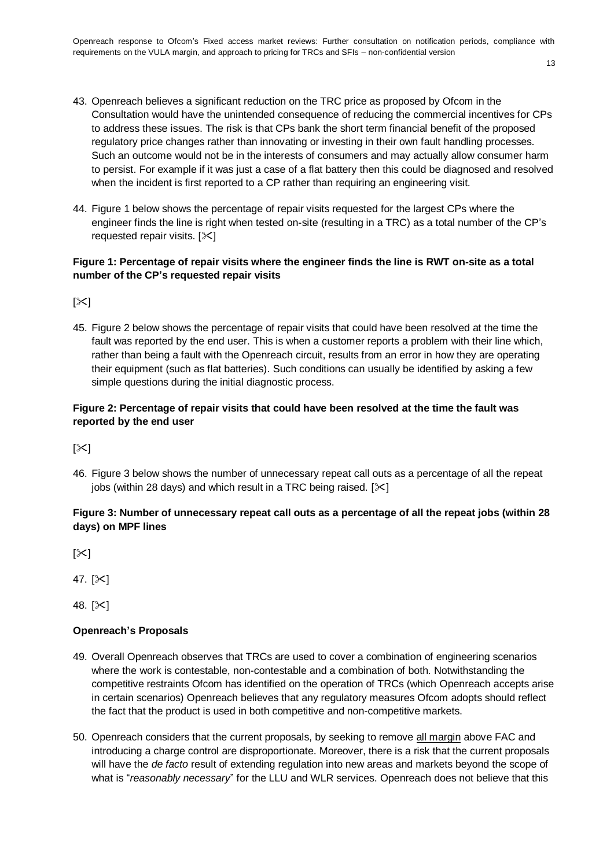- 43. Openreach believes a significant reduction on the TRC price as proposed by Ofcom in the Consultation would have the unintended consequence of reducing the commercial incentives for CPs to address these issues. The risk is that CPs bank the short term financial benefit of the proposed regulatory price changes rather than innovating or investing in their own fault handling processes. Such an outcome would not be in the interests of consumers and may actually allow consumer harm to persist. For example if it was just a case of a flat battery then this could be diagnosed and resolved when the incident is first reported to a CP rather than requiring an engineering visit.
- 44. Figure 1 below shows the percentage of repair visits requested for the largest CPs where the engineer finds the line is right when tested on-site (resulting in a TRC) as a total number of the CP's requested repair visits.  $[\times]$

# **Figure 1: Percentage of repair visits where the engineer finds the line is RWT on-site as a total number of the CP's requested repair visits**

 $[\times]$ 

45. Figure 2 below shows the percentage of repair visits that could have been resolved at the time the fault was reported by the end user. This is when a customer reports a problem with their line which, rather than being a fault with the Openreach circuit, results from an error in how they are operating their equipment (such as flat batteries). Such conditions can usually be identified by asking a few simple questions during the initial diagnostic process.

# **Figure 2: Percentage of repair visits that could have been resolved at the time the fault was reported by the end user**

 $[\times]$ 

46. Figure 3 below shows the number of unnecessary repeat call outs as a percentage of all the repeat jobs (within 28 days) and which result in a TRC being raised.  $[\times]$ 

# **Figure 3: Number of unnecessary repeat call outs as a percentage of all the repeat jobs (within 28 days) on MPF lines**

 $[\times]$ 

47.  $[\times]$ 

48. [ $\ge$ ]

#### **Openreach's Proposals**

- 49. Overall Openreach observes that TRCs are used to cover a combination of engineering scenarios where the work is contestable, non-contestable and a combination of both. Notwithstanding the competitive restraints Ofcom has identified on the operation of TRCs (which Openreach accepts arise in certain scenarios) Openreach believes that any regulatory measures Ofcom adopts should reflect the fact that the product is used in both competitive and non-competitive markets.
- 50. Openreach considers that the current proposals, by seeking to remove all margin above FAC and introducing a charge control are disproportionate. Moreover, there is a risk that the current proposals will have the *de facto* result of extending regulation into new areas and markets beyond the scope of what is "*reasonably necessary*" for the LLU and WLR services. Openreach does not believe that this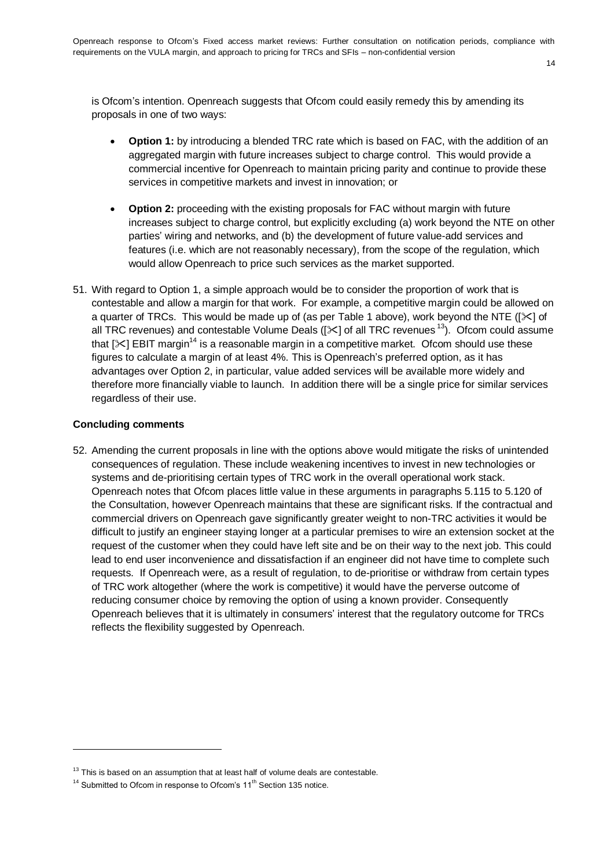14

is Ofcom's intention. Openreach suggests that Ofcom could easily remedy this by amending its proposals in one of two ways:

- **Option 1:** by introducing a blended TRC rate which is based on FAC, with the addition of an aggregated margin with future increases subject to charge control. This would provide a commercial incentive for Openreach to maintain pricing parity and continue to provide these services in competitive markets and invest in innovation; or
- **Option 2:** proceeding with the existing proposals for FAC without margin with future increases subject to charge control, but explicitly excluding (a) work beyond the NTE on other parties' wiring and networks, and (b) the development of future value-add services and features (i.e. which are not reasonably necessary), from the scope of the regulation, which would allow Openreach to price such services as the market supported.
- 51. With regard to Option 1, a simple approach would be to consider the proportion of work that is contestable and allow a margin for that work. For example, a competitive margin could be allowed on a quarter of TRCs. This would be made up of (as per Table 1 above), work beyond the NTE ( $[\times]$  of all TRC revenues) and contestable Volume Deals ( $[\times]$  of all TRC revenues<sup>13</sup>). Ofcom could assume that  $[\times]$  EBIT margin<sup>14</sup> is a reasonable margin in a competitive market. Ofcom should use these figures to calculate a margin of at least 4%. This is Openreach's preferred option, as it has advantages over Option 2, in particular, value added services will be available more widely and therefore more financially viable to launch. In addition there will be a single price for similar services regardless of their use.

#### **Concluding comments**

1

52. Amending the current proposals in line with the options above would mitigate the risks of unintended consequences of regulation. These include weakening incentives to invest in new technologies or systems and de-prioritising certain types of TRC work in the overall operational work stack. Openreach notes that Ofcom places little value in these arguments in paragraphs 5.115 to 5.120 of the Consultation, however Openreach maintains that these are significant risks. If the contractual and commercial drivers on Openreach gave significantly greater weight to non-TRC activities it would be difficult to justify an engineer staying longer at a particular premises to wire an extension socket at the request of the customer when they could have left site and be on their way to the next job. This could lead to end user inconvenience and dissatisfaction if an engineer did not have time to complete such requests. If Openreach were, as a result of regulation, to de-prioritise or withdraw from certain types of TRC work altogether (where the work is competitive) it would have the perverse outcome of reducing consumer choice by removing the option of using a known provider. Consequently Openreach believes that it is ultimately in consumers' interest that the regulatory outcome for TRCs reflects the flexibility suggested by Openreach.

 $13$  This is based on an assumption that at least half of volume deals are contestable.

 $14$  Submitted to Ofcom in response to Ofcom's  $11<sup>th</sup>$  Section 135 notice.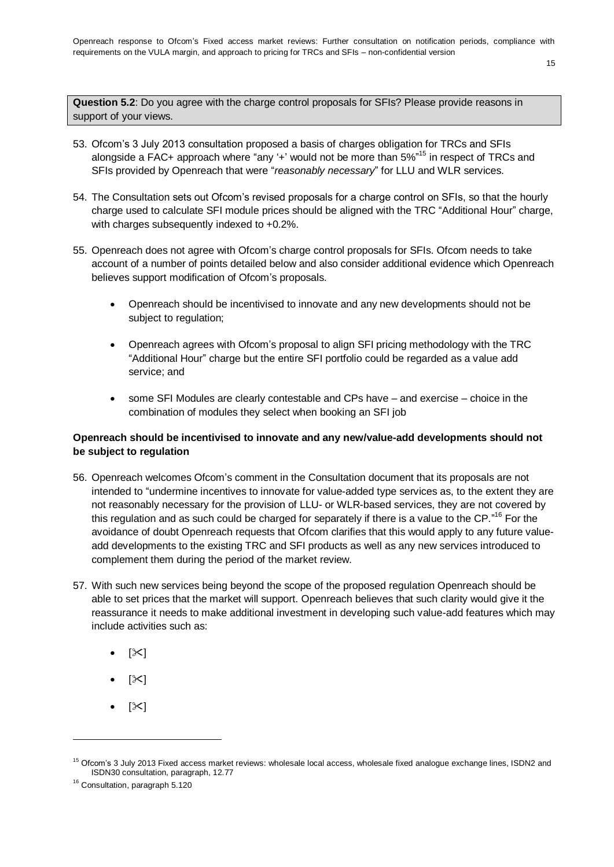**Question 5.2**: Do you agree with the charge control proposals for SFIs? Please provide reasons in support of your views.

- 53. Ofcom's 3 July 2013 consultation proposed a basis of charges obligation for TRCs and SFIs alongside a FAC+ approach where "any '+' would not be more than 5%"<sup>15</sup> in respect of TRCs and SFIs provided by Openreach that were "*reasonably necessary*" for LLU and WLR services.
- 54. The Consultation sets out Ofcom's revised proposals for a charge control on SFIs, so that the hourly charge used to calculate SFI module prices should be aligned with the TRC "Additional Hour" charge, with charges subsequently indexed to +0.2%.
- 55. Openreach does not agree with Ofcom's charge control proposals for SFIs. Ofcom needs to take account of a number of points detailed below and also consider additional evidence which Openreach believes support modification of Ofcom's proposals.
	- Openreach should be incentivised to innovate and any new developments should not be subject to regulation;
	- Openreach agrees with Ofcom's proposal to align SFI pricing methodology with the TRC "Additional Hour" charge but the entire SFI portfolio could be regarded as a value add service; and
	- some SFI Modules are clearly contestable and CPs have and exercise choice in the combination of modules they select when booking an SFI job

# **Openreach should be incentivised to innovate and any new/value-add developments should not be subject to regulation**

- 56. Openreach welcomes Ofcom's comment in the Consultation document that its proposals are not intended to "undermine incentives to innovate for value-added type services as, to the extent they are not reasonably necessary for the provision of LLU- or WLR-based services, they are not covered by this regulation and as such could be charged for separately if there is a value to the CP."<sup>16</sup> For the avoidance of doubt Openreach requests that Ofcom clarifies that this would apply to any future valueadd developments to the existing TRC and SFI products as well as any new services introduced to complement them during the period of the market review.
- 57. With such new services being beyond the scope of the proposed regulation Openreach should be able to set prices that the market will support. Openreach believes that such clarity would give it the reassurance it needs to make additional investment in developing such value-add features which may include activities such as:
	- $\bullet$  [ $\infty$ ]
	- $[\times]$
	- $[\times]$

<sup>&</sup>lt;sup>15</sup> Ofcom's 3 July 2013 Fixed access market reviews: wholesale local access, wholesale fixed analogue exchange lines, ISDN2 and ISDN30 consultation, paragraph, 12.77

<sup>&</sup>lt;sup>16</sup> Consultation, paragraph 5.120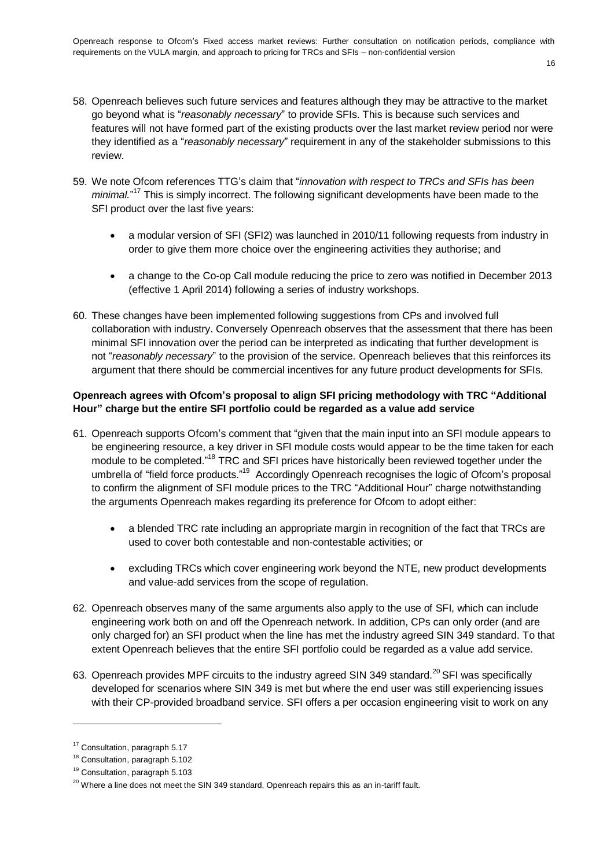- 16
- 58. Openreach believes such future services and features although they may be attractive to the market go beyond what is "*reasonably necessary*" to provide SFIs. This is because such services and features will not have formed part of the existing products over the last market review period nor were they identified as a "*reasonably necessary*" requirement in any of the stakeholder submissions to this review.
- 59. We note Ofcom references TTG's claim that "*innovation with respect to TRCs and SFIs has been*  minimal."<sup>17</sup> This is simply incorrect. The following significant developments have been made to the SFI product over the last five years:
	- a modular version of SFI (SFI2) was launched in 2010/11 following requests from industry in order to give them more choice over the engineering activities they authorise; and
	- a change to the Co-op Call module reducing the price to zero was notified in December 2013 (effective 1 April 2014) following a series of industry workshops.
- 60. These changes have been implemented following suggestions from CPs and involved full collaboration with industry. Conversely Openreach observes that the assessment that there has been minimal SFI innovation over the period can be interpreted as indicating that further development is not "*reasonably necessary*" to the provision of the service. Openreach believes that this reinforces its argument that there should be commercial incentives for any future product developments for SFIs.

### **Openreach agrees with Ofcom's proposal to align SFI pricing methodology with TRC "Additional Hour" charge but the entire SFI portfolio could be regarded as a value add service**

- 61. Openreach supports Ofcom's comment that "given that the main input into an SFI module appears to be engineering resource, a key driver in SFI module costs would appear to be the time taken for each module to be completed."<sup>18</sup> TRC and SFI prices have historically been reviewed together under the umbrella of "field force products."<sup>19</sup> Accordingly Openreach recognises the logic of Ofcom's proposal to confirm the alignment of SFI module prices to the TRC "Additional Hour" charge notwithstanding the arguments Openreach makes regarding its preference for Ofcom to adopt either:
	- a blended TRC rate including an appropriate margin in recognition of the fact that TRCs are used to cover both contestable and non-contestable activities; or
	- excluding TRCs which cover engineering work beyond the NTE, new product developments and value-add services from the scope of regulation.
- 62. Openreach observes many of the same arguments also apply to the use of SFI, which can include engineering work both on and off the Openreach network. In addition, CPs can only order (and are only charged for) an SFI product when the line has met the industry agreed SIN 349 standard. To that extent Openreach believes that the entire SFI portfolio could be regarded as a value add service.
- 63. Openreach provides MPF circuits to the industry agreed SIN 349 standard.<sup>20</sup> SFI was specifically developed for scenarios where SIN 349 is met but where the end user was still experiencing issues with their CP-provided broadband service. SFI offers a per occasion engineering visit to work on any

<sup>&</sup>lt;sup>17</sup> Consultation, paragraph 5.17

<sup>&</sup>lt;sup>18</sup> Consultation, paragraph 5.102

<sup>19</sup> Consultation, paragraph 5.103

<sup>&</sup>lt;sup>20</sup> Where a line does not meet the SIN 349 standard, Openreach repairs this as an in-tariff fault.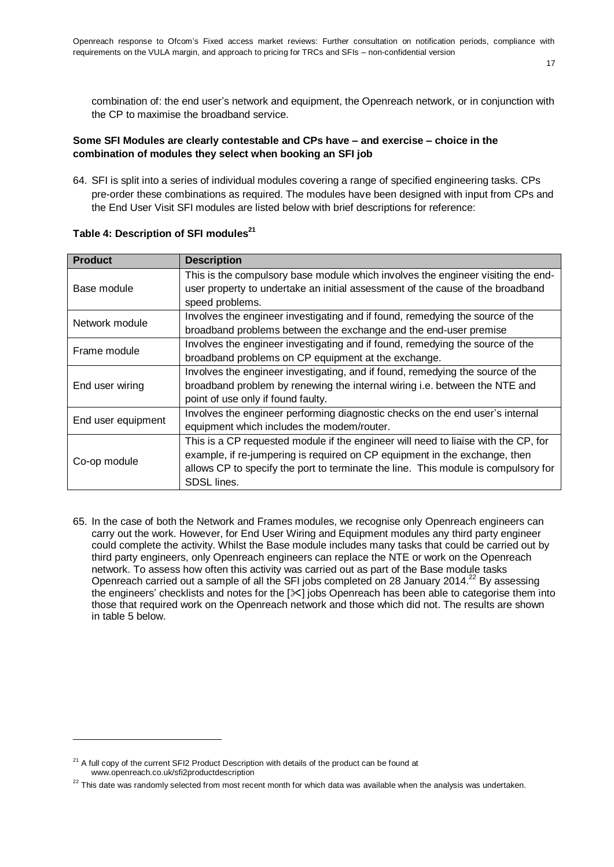combination of: the end user's network and equipment, the Openreach network, or in conjunction with the CP to maximise the broadband service.

17

#### **Some SFI Modules are clearly contestable and CPs have – and exercise – choice in the combination of modules they select when booking an SFI job**

64. SFI is split into a series of individual modules covering a range of specified engineering tasks. CPs pre-order these combinations as required. The modules have been designed with input from CPs and the End User Visit SFI modules are listed below with brief descriptions for reference:

| <b>Product</b>     | <b>Description</b>                                                                 |
|--------------------|------------------------------------------------------------------------------------|
|                    | This is the compulsory base module which involves the engineer visiting the end-   |
| Base module        | user property to undertake an initial assessment of the cause of the broadband     |
|                    | speed problems.                                                                    |
| Network module     | Involves the engineer investigating and if found, remedying the source of the      |
|                    | broadband problems between the exchange and the end-user premise                   |
| Frame module       | Involves the engineer investigating and if found, remedying the source of the      |
|                    | broadband problems on CP equipment at the exchange.                                |
|                    | Involves the engineer investigating, and if found, remedying the source of the     |
| End user wiring    | broadband problem by renewing the internal wiring i.e. between the NTE and         |
|                    | point of use only if found faulty.                                                 |
| End user equipment | Involves the engineer performing diagnostic checks on the end user's internal      |
|                    | equipment which includes the modem/router.                                         |
|                    | This is a CP requested module if the engineer will need to liaise with the CP, for |
| Co-op module       | example, if re-jumpering is required on CP equipment in the exchange, then         |
|                    | allows CP to specify the port to terminate the line. This module is compulsory for |
|                    | SDSL lines.                                                                        |

## **Table 4: Description of SFI modules<sup>21</sup>**

65. In the case of both the Network and Frames modules, we recognise only Openreach engineers can carry out the work. However, for End User Wiring and Equipment modules any third party engineer could complete the activity. Whilst the Base module includes many tasks that could be carried out by third party engineers, only Openreach engineers can replace the NTE or work on the Openreach network. To assess how often this activity was carried out as part of the Base module tasks Openreach carried out a sample of all the SFI jobs completed on 28 January 2014.<sup>22</sup> By assessing the engineers' checklists and notes for the  $[35]$  jobs Openreach has been able to categorise them into those that required work on the Openreach network and those which did not. The results are shown in table 5 below.

 $21$  A full copy of the current SFI2 Product Description with details of the product can be found at [www.openreach.co.uk/sfi2productdescription](http://www.openreach.co.uk/sfi2productdescription)

 $22$  This date was randomly selected from most recent month for which data was available when the analysis was undertaken.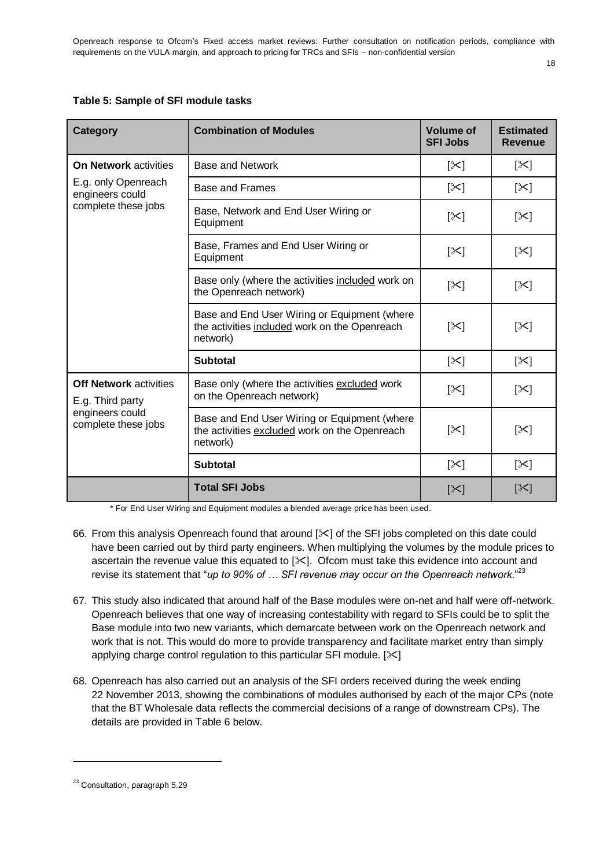#### **Table 5: Sample of SFI module tasks**

| <b>Category</b>                                                                             | <b>Combination of Modules</b>                                                                             | <b>Volume of</b><br><b>SFI Jobs</b> | <b>Estimated</b><br><b>Revenue</b> |
|---------------------------------------------------------------------------------------------|-----------------------------------------------------------------------------------------------------------|-------------------------------------|------------------------------------|
| <b>On Network activities</b>                                                                | <b>Base and Network</b>                                                                                   | $\mathbb{K}$                        | [≻]                                |
| E.g. only Openreach<br>engineers could                                                      | Base and Frames                                                                                           | $[\times]$                          | $[\times]$                         |
| complete these jobs                                                                         | Base, Network and End User Wiring or<br>Equipment                                                         | $[\times]$                          | [╳]                                |
|                                                                                             | Base, Frames and End User Wiring or<br>Equipment                                                          | $[\times]$                          | $[\times]$                         |
|                                                                                             | Base only (where the activities included work on<br>the Openreach network)                                | [╳]                                 | $[\times]$                         |
|                                                                                             | Base and End User Wiring or Equipment (where<br>the activities included work on the Openreach<br>network) | $[\times]$                          | [≻]                                |
|                                                                                             | <b>Subtotal</b>                                                                                           | $\mathbb{K}$                        | $\left[\times\right]$              |
| <b>Off Network activities</b><br>E.g. Third party<br>engineers could<br>complete these jobs | Base only (where the activities excluded work<br>on the Openreach network)                                | $[\times]$                          | [╳]                                |
|                                                                                             | Base and End User Wiring or Equipment (where<br>the activities excluded work on the Openreach<br>network) | $[\times]$                          | $[\times]$                         |
|                                                                                             | <b>Subtotal</b>                                                                                           | $\mathbb{K}$                        | [≻]                                |
|                                                                                             | <b>Total SFI Jobs</b>                                                                                     | [≻]                                 | [≻]                                |

\* For End User Wiring and Equipment modules a blended average price has been used.

- 66. From this analysis Openreach found that around  $[\times]$  of the SFI jobs completed on this date could have been carried out by third party engineers. When multiplying the volumes by the module prices to ascertain the revenue value this equated to  $[\times]$ . Ofcom must take this evidence into account and revise its statement that "up to 90% of ... SFI revenue may occur on the Openreach network."<sup>23</sup>
- 67. This study also indicated that around half of the Base modules were on-net and half were off-network. Openreach believes that one way of increasing contestability with regard to SFIs could be to split the Base module into two new variants, which demarcate between work on the Openreach network and work that is not. This would do more to provide transparency and facilitate market entry than simply applying charge control regulation to this particular SFI module.  $[\times]$
- 68. Openreach has also carried out an analysis of the SFI orders received during the week ending 22 November 2013, showing the combinations of modules authorised by each of the major CPs (note that the BT Wholesale data reflects the commercial decisions of a range of downstream CPs). The details are provided in Table 6 below.

<sup>&</sup>lt;sup>23</sup> Consultation, paragraph 5.29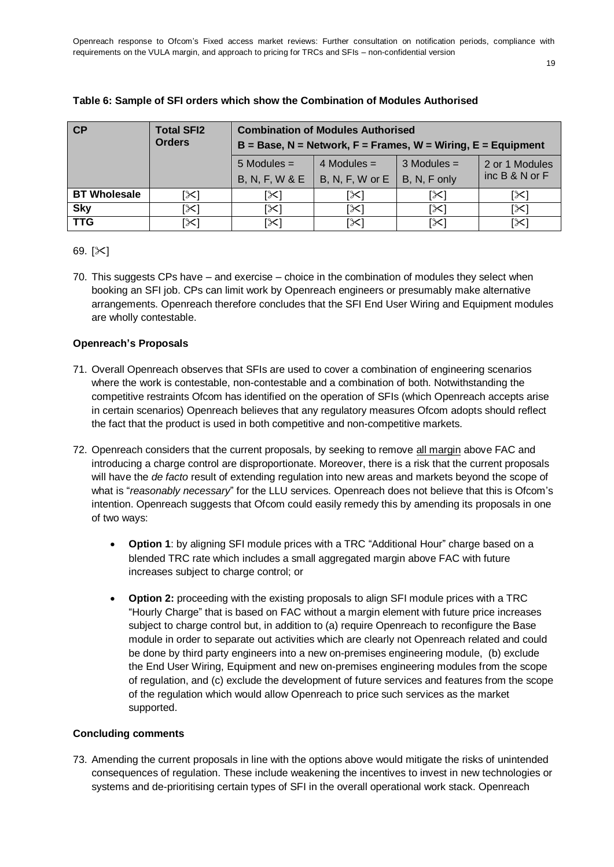| CP                  | <b>Total SFI2</b><br><b>Orders</b> | <b>Combination of Modules Authorised</b><br>$B = Base, N = Network, F = Frames, W = Wiring, E = Equipment$ |                                                  |                               |                                      |  |
|---------------------|------------------------------------|------------------------------------------------------------------------------------------------------------|--------------------------------------------------|-------------------------------|--------------------------------------|--|
|                     |                                    | $5$ Modules =<br><b>B, N, F, W &amp; E</b>                                                                 | 4 Modules $=$<br>$\vert$ B, N, F, W or E $\vert$ | $3$ Modules =<br>B, N, F only | 2 or 1 Modules<br>$inc B & N$ or $F$ |  |
| <b>BT</b> Wholesale | [≻]                                | [╳                                                                                                         | [≻                                               | [≻]                           | [╳                                   |  |
| <b>Sky</b>          | [≻]                                | [╳]                                                                                                        | [≻]                                              | [≻]                           | [≻]                                  |  |
| <b>TTG</b>          | [≻]                                | [⊱                                                                                                         | [≻                                               | [╳]                           | [╳                                   |  |

#### **Table 6: Sample of SFI orders which show the Combination of Modules Authorised**

#### 69.  $[\times]$

70. This suggests CPs have – and exercise – choice in the combination of modules they select when booking an SFI job. CPs can limit work by Openreach engineers or presumably make alternative arrangements. Openreach therefore concludes that the SFI End User Wiring and Equipment modules are wholly contestable.

#### **Openreach's Proposals**

- 71. Overall Openreach observes that SFIs are used to cover a combination of engineering scenarios where the work is contestable, non-contestable and a combination of both. Notwithstanding the competitive restraints Ofcom has identified on the operation of SFIs (which Openreach accepts arise in certain scenarios) Openreach believes that any regulatory measures Ofcom adopts should reflect the fact that the product is used in both competitive and non-competitive markets.
- 72. Openreach considers that the current proposals, by seeking to remove all margin above FAC and introducing a charge control are disproportionate. Moreover, there is a risk that the current proposals will have the *de facto* result of extending regulation into new areas and markets beyond the scope of what is "*reasonably necessary*" for the LLU services. Openreach does not believe that this is Ofcom's intention. Openreach suggests that Ofcom could easily remedy this by amending its proposals in one of two ways:
	- **Option 1**: by aligning SFI module prices with a TRC "Additional Hour" charge based on a blended TRC rate which includes a small aggregated margin above FAC with future increases subject to charge control; or
	- **Option 2:** proceeding with the existing proposals to align SFI module prices with a TRC "Hourly Charge" that is based on FAC without a margin element with future price increases subject to charge control but, in addition to (a) require Openreach to reconfigure the Base module in order to separate out activities which are clearly not Openreach related and could be done by third party engineers into a new on-premises engineering module, (b) exclude the End User Wiring, Equipment and new on-premises engineering modules from the scope of regulation, and (c) exclude the development of future services and features from the scope of the regulation which would allow Openreach to price such services as the market supported.

#### **Concluding comments**

73. Amending the current proposals in line with the options above would mitigate the risks of unintended consequences of regulation. These include weakening the incentives to invest in new technologies or systems and de-prioritising certain types of SFI in the overall operational work stack. Openreach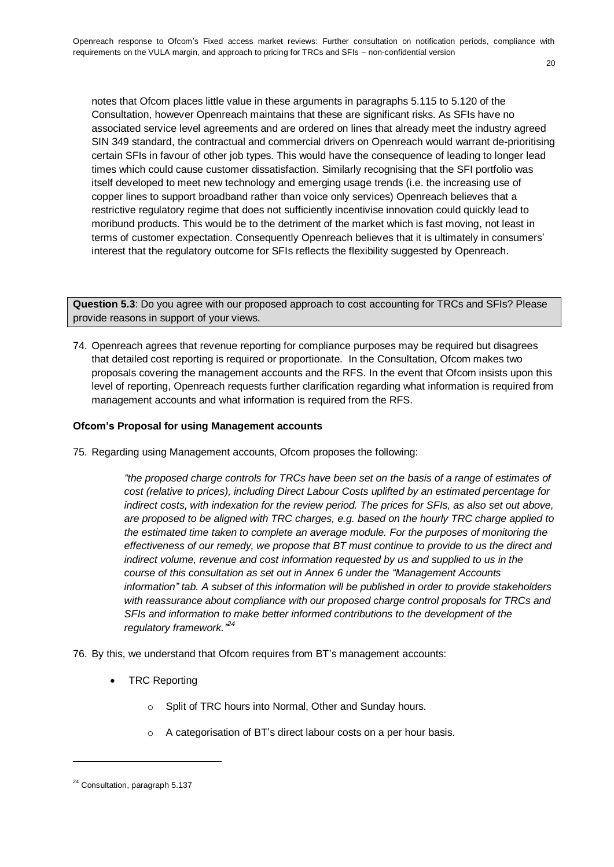notes that Ofcom places little value in these arguments in paragraphs 5.115 to 5.120 of the Consultation, however Openreach maintains that these are significant risks. As SFIs have no associated service level agreements and are ordered on lines that already meet the industry agreed SIN 349 standard, the contractual and commercial drivers on Openreach would warrant de-prioritising certain SFIs in favour of other job types. This would have the consequence of leading to longer lead times which could cause customer dissatisfaction. Similarly recognising that the SFI portfolio was itself developed to meet new technology and emerging usage trends (i.e. the increasing use of copper lines to support broadband rather than voice only services) Openreach believes that a restrictive regulatory regime that does not sufficiently incentivise innovation could quickly lead to moribund products. This would be to the detriment of the market which is fast moving, not least in terms of customer expectation. Consequently Openreach believes that it is ultimately in consumers' interest that the regulatory outcome for SFIs reflects the flexibility suggested by Openreach.

**Question 5.3**: Do you agree with our proposed approach to cost accounting for TRCs and SFIs? Please provide reasons in support of your views.

74. Openreach agrees that revenue reporting for compliance purposes may be required but disagrees that detailed cost reporting is required or proportionate. In the Consultation, Ofcom makes two proposals covering the management accounts and the RFS. In the event that Ofcom insists upon this level of reporting, Openreach requests further clarification regarding what information is required from management accounts and what information is required from the RFS.

#### **Ofcom's Proposal for using Management accounts**

75. Regarding using Management accounts, Ofcom proposes the following:

*"the proposed charge controls for TRCs have been set on the basis of a range of estimates of cost (relative to prices), including Direct Labour Costs uplifted by an estimated percentage for indirect costs, with indexation for the review period. The prices for SFIs, as also set out above, are proposed to be aligned with TRC charges, e.g. based on the hourly TRC charge applied to the estimated time taken to complete an average module. For the purposes of monitoring the effectiveness of our remedy, we propose that BT must continue to provide to us the direct and indirect volume, revenue and cost information requested by us and supplied to us in the course of this consultation as set out in Annex 6 under the "Management Accounts information" tab. A subset of this information will be published in order to provide stakeholders with reassurance about compliance with our proposed charge control proposals for TRCs and SFIs and information to make better informed contributions to the development of the regulatory framework." 24*

76. By this, we understand that Ofcom requires from BT's management accounts:

- TRC Reporting
	- o Split of TRC hours into Normal, Other and Sunday hours.
	- o A categorisation of BT's direct labour costs on a per hour basis.

<sup>&</sup>lt;sup>24</sup> Consultation, paragraph 5.137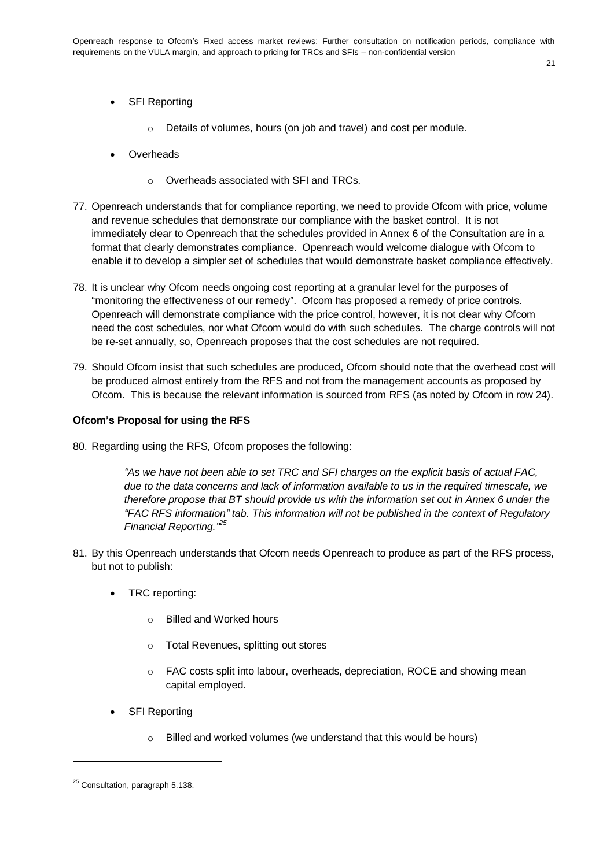- SFI Reporting
	- o Details of volumes, hours (on job and travel) and cost per module.
- **Overheads** 
	- o Overheads associated with SFI and TRCs.
- 77. Openreach understands that for compliance reporting, we need to provide Ofcom with price, volume and revenue schedules that demonstrate our compliance with the basket control. It is not immediately clear to Openreach that the schedules provided in Annex 6 of the Consultation are in a format that clearly demonstrates compliance. Openreach would welcome dialogue with Ofcom to enable it to develop a simpler set of schedules that would demonstrate basket compliance effectively.
- 78. It is unclear why Ofcom needs ongoing cost reporting at a granular level for the purposes of "monitoring the effectiveness of our remedy". Ofcom has proposed a remedy of price controls. Openreach will demonstrate compliance with the price control, however, it is not clear why Ofcom need the cost schedules, nor what Ofcom would do with such schedules. The charge controls will not be re-set annually, so, Openreach proposes that the cost schedules are not required.
- 79. Should Ofcom insist that such schedules are produced, Ofcom should note that the overhead cost will be produced almost entirely from the RFS and not from the management accounts as proposed by Ofcom. This is because the relevant information is sourced from RFS (as noted by Ofcom in row 24).

#### **Ofcom's Proposal for using the RFS**

80. Regarding using the RFS, Ofcom proposes the following:

*"As we have not been able to set TRC and SFI charges on the explicit basis of actual FAC, due to the data concerns and lack of information available to us in the required timescale, we therefore propose that BT should provide us with the information set out in Annex 6 under the "FAC RFS information" tab. This information will not be published in the context of Regulatory Financial Reporting." 25*

- 81. By this Openreach understands that Ofcom needs Openreach to produce as part of the RFS process, but not to publish:
	- TRC reporting:
		- o Billed and Worked hours
		- o Total Revenues, splitting out stores
		- o FAC costs split into labour, overheads, depreciation, ROCE and showing mean capital employed.
	- SFI Reporting
		- o Billed and worked volumes (we understand that this would be hours)

<sup>&</sup>lt;sup>25</sup> Consultation, paragraph 5.138.